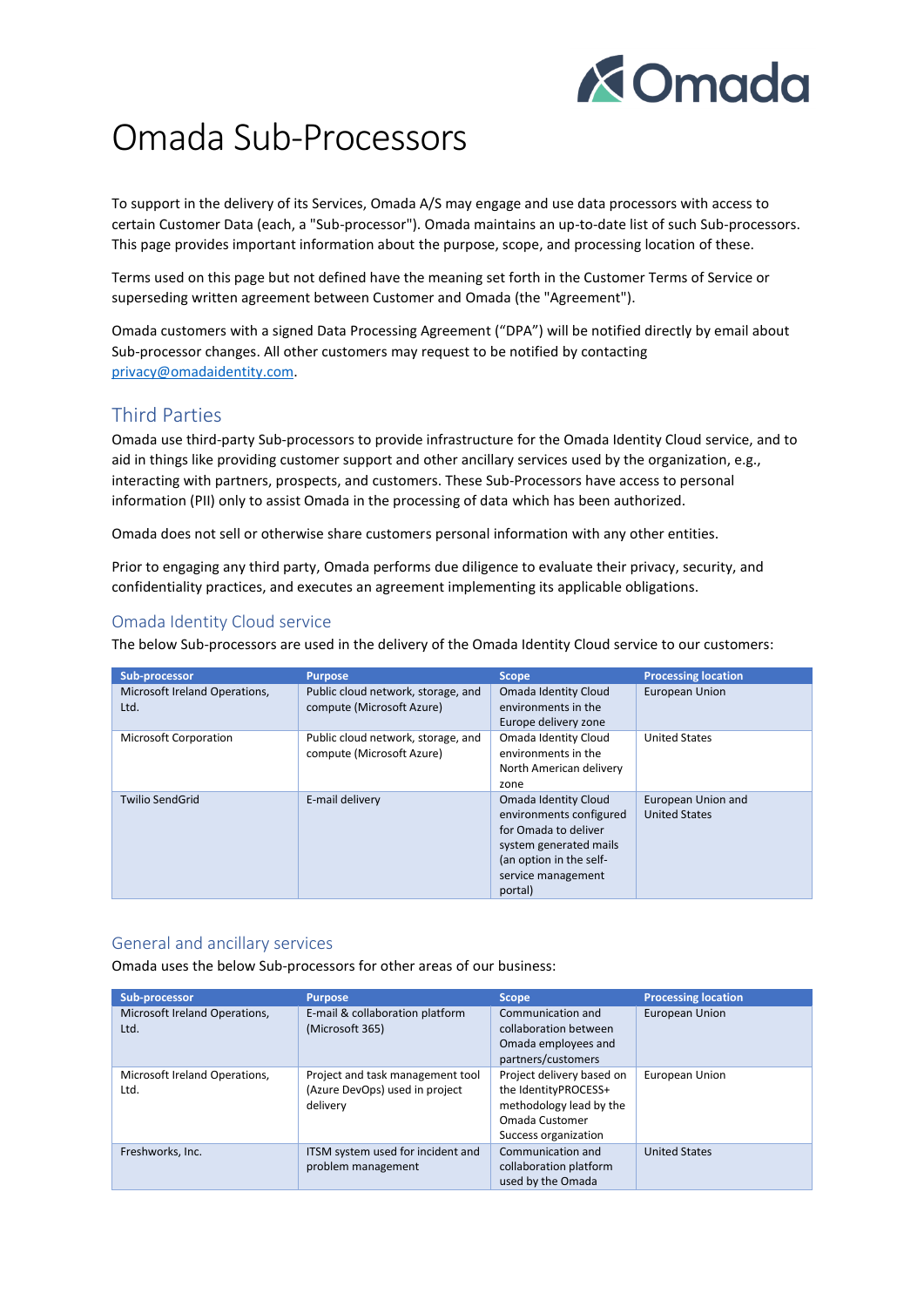

# Omada Sub-Processors

To support in the delivery of its Services, Omada A/S may engage and use data processors with access to certain Customer Data (each, a "Sub-processor"). Omada maintains an up-to-date list of such Sub-processors. This page provides important information about the purpose, scope, and processing location of these.

Terms used on this page but not defined have the meaning set forth in the Customer Terms of Service or superseding written agreement between Customer and Omada (the "Agreement").

Omada customers with a signed Data Processing Agreement ("DPA") will be notified directly by email about Sub-processor changes. All other customers may request to be notified by contacting [privacy@omadaidentity.com.](mailto:privacy@omadaidentity.com)

## Third Parties

Omada use third-party Sub-processors to provide infrastructure for the Omada Identity Cloud service, and to aid in things like providing customer support and other ancillary services used by the organization, e.g., interacting with partners, prospects, and customers. These Sub-Processors have access to personal information (PII) only to assist Omada in the processing of data which has been authorized.

Omada does not sell or otherwise share customers personal information with any other entities.

Prior to engaging any third party, Omada performs due diligence to evaluate their privacy, security, and confidentiality practices, and executes an agreement implementing its applicable obligations.

### Omada Identity Cloud service

The below Sub-processors are used in the delivery of the Omada Identity Cloud service to our customers:

| Sub-processor                         | <b>Purpose</b>                                                  | <b>Scope</b>                                                                                                                                                  | <b>Processing location</b>                 |
|---------------------------------------|-----------------------------------------------------------------|---------------------------------------------------------------------------------------------------------------------------------------------------------------|--------------------------------------------|
| Microsoft Ireland Operations,<br>Ltd. | Public cloud network, storage, and<br>compute (Microsoft Azure) | Omada Identity Cloud<br>environments in the<br>Europe delivery zone                                                                                           | <b>European Union</b>                      |
| <b>Microsoft Corporation</b>          | Public cloud network, storage, and<br>compute (Microsoft Azure) | Omada Identity Cloud<br>environments in the<br>North American delivery<br>zone                                                                                | <b>United States</b>                       |
| <b>Twilio SendGrid</b>                | E-mail delivery                                                 | Omada Identity Cloud<br>environments configured<br>for Omada to deliver<br>system generated mails<br>(an option in the self-<br>service management<br>portal) | European Union and<br><b>United States</b> |

#### General and ancillary services

Omada uses the below Sub-processors for other areas of our business:

| Sub-processor                         | <b>Purpose</b>                                                                 | <b>Scope</b>                                                                                                           | <b>Processing location</b> |
|---------------------------------------|--------------------------------------------------------------------------------|------------------------------------------------------------------------------------------------------------------------|----------------------------|
| Microsoft Ireland Operations,<br>Ltd. | E-mail & collaboration platform<br>(Microsoft 365)                             | Communication and<br>collaboration between<br>Omada employees and<br>partners/customers                                | European Union             |
| Microsoft Ireland Operations,<br>Ltd. | Project and task management tool<br>(Azure DevOps) used in project<br>delivery | Project delivery based on<br>the IdentityPROCESS+<br>methodology lead by the<br>Omada Customer<br>Success organization | European Union             |
| Freshworks, Inc.                      | ITSM system used for incident and<br>problem management                        | Communication and<br>collaboration platform<br>used by the Omada                                                       | <b>United States</b>       |